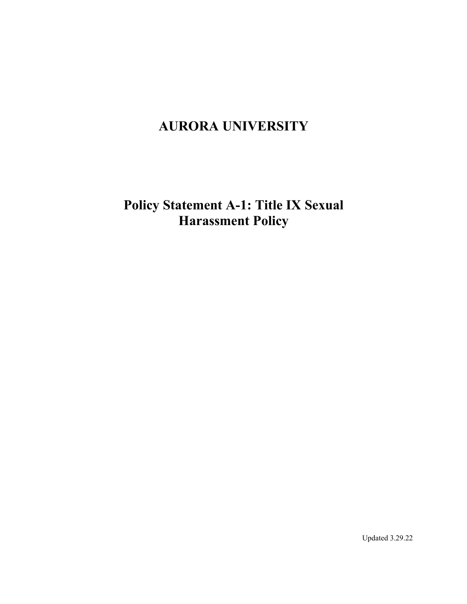# **AURORA UNIVERSITY**

**Policy Statement A-1: Title IX Sexual Harassment Policy**

Updated 3.29.22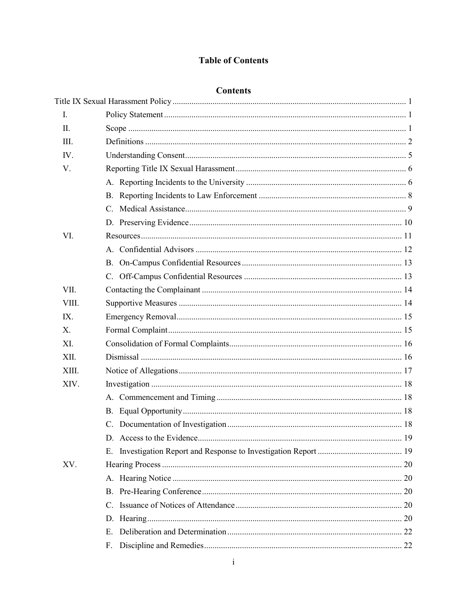# **Table of Contents**

# **Contents**

| I.          |    |
|-------------|----|
| II.         |    |
| III.        |    |
| IV.         |    |
| V.          |    |
|             |    |
|             |    |
|             |    |
|             |    |
| VI.         |    |
|             |    |
|             |    |
|             |    |
| VII.        |    |
| VIII.       |    |
| IX.         |    |
| $X_{\cdot}$ |    |
| XI.         |    |
| XII.        |    |
| XIII.       |    |
| XIV.        |    |
|             |    |
|             |    |
|             |    |
|             |    |
|             |    |
| XV.         |    |
|             |    |
|             |    |
|             | C. |
|             |    |
|             | E. |
|             | F. |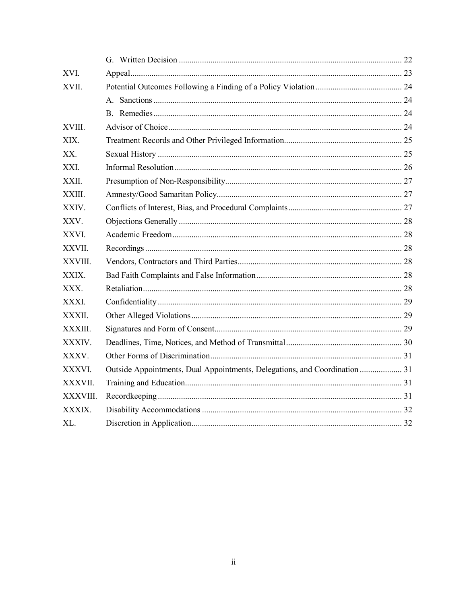| XVI.     |                                                                            |  |
|----------|----------------------------------------------------------------------------|--|
| XVII.    |                                                                            |  |
|          |                                                                            |  |
|          |                                                                            |  |
| XVIII.   |                                                                            |  |
| XIX.     |                                                                            |  |
| XX.      |                                                                            |  |
| XXI.     |                                                                            |  |
| XXII.    |                                                                            |  |
| XXIII.   |                                                                            |  |
| XXIV.    |                                                                            |  |
| XXV.     |                                                                            |  |
| XXVI.    |                                                                            |  |
| XXVII.   |                                                                            |  |
| XXVIII.  |                                                                            |  |
| XXIX.    |                                                                            |  |
| XXX.     |                                                                            |  |
| XXXI.    |                                                                            |  |
| XXXII.   |                                                                            |  |
| XXXIII.  |                                                                            |  |
| XXXIV.   |                                                                            |  |
| XXXV.    |                                                                            |  |
| XXXVI.   | Outside Appointments, Dual Appointments, Delegations, and Coordination  31 |  |
| XXXVII.  |                                                                            |  |
| XXXVIII. |                                                                            |  |
| XXXIX.   |                                                                            |  |
| XL.      |                                                                            |  |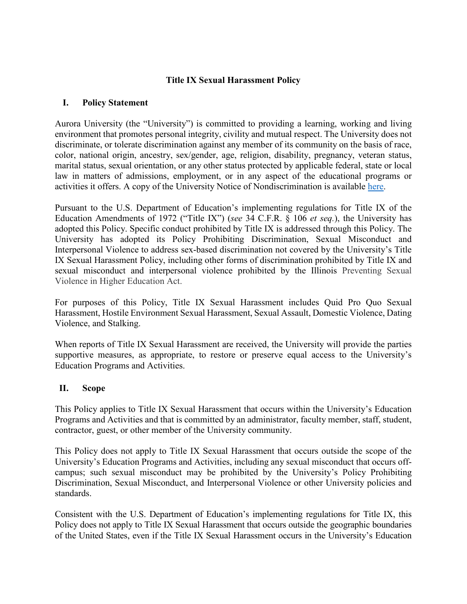### **Title IX Sexual Harassment Policy**

### <span id="page-3-1"></span><span id="page-3-0"></span>**I. Policy Statement**

Aurora University (the "University") is committed to providing a learning, working and living environment that promotes personal integrity, civility and mutual respect. The University does not discriminate, or tolerate discrimination against any member of its community on the basis of race, color, national origin, ancestry, sex/gender, age, religion, disability, pregnancy, veteran status, marital status, sexual orientation, or any other status protected by applicable federal, state or local law in matters of admissions, employment, or in any aspect of the educational programs or activities it offers. A copy of the University Notice of Nondiscrimination is available [here.](https://aurora.edu/documents/policies/university-notice-of-nondiscrimination.pdf)

Pursuant to the U.S. Department of Education's implementing regulations for Title IX of the Education Amendments of 1972 ("Title IX") (*see* 34 C.F.R. § 106 *et seq.*), the University has adopted this Policy. Specific conduct prohibited by Title IX is addressed through this Policy. The University has adopted its Policy Prohibiting Discrimination, Sexual Misconduct and Interpersonal Violence to address sex-based discrimination not covered by the University's Title IX Sexual Harassment Policy, including other forms of discrimination prohibited by Title IX and sexual misconduct and interpersonal violence prohibited by the Illinois Preventing Sexual Violence in Higher Education Act.

For purposes of this Policy, Title IX Sexual Harassment includes Quid Pro Quo Sexual Harassment, Hostile Environment Sexual Harassment, Sexual Assault, Domestic Violence, Dating Violence, and Stalking.

When reports of Title IX Sexual Harassment are received, the University will provide the parties supportive measures, as appropriate, to restore or preserve equal access to the University's Education Programs and Activities.

### <span id="page-3-2"></span>**II. Scope**

This Policy applies to Title IX Sexual Harassment that occurs within the University's Education Programs and Activities and that is committed by an administrator, faculty member, staff, student, contractor, guest, or other member of the University community.

This Policy does not apply to Title IX Sexual Harassment that occurs outside the scope of the University's Education Programs and Activities, including any sexual misconduct that occurs offcampus; such sexual misconduct may be prohibited by the University's Policy Prohibiting Discrimination, Sexual Misconduct, and Interpersonal Violence or other University policies and standards.

Consistent with the U.S. Department of Education's implementing regulations for Title IX, this Policy does not apply to Title IX Sexual Harassment that occurs outside the geographic boundaries of the United States, even if the Title IX Sexual Harassment occurs in the University's Education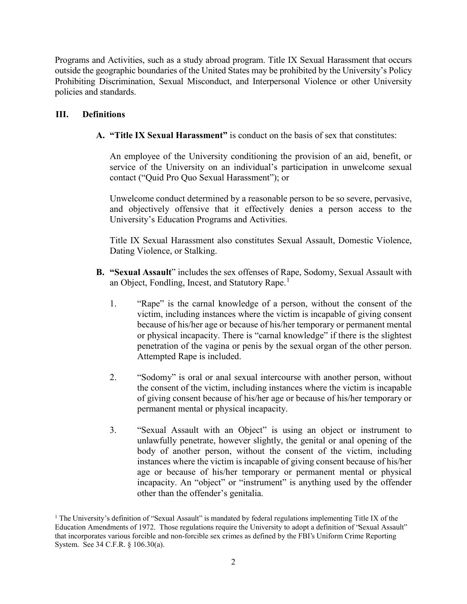Programs and Activities, such as a study abroad program. Title IX Sexual Harassment that occurs outside the geographic boundaries of the United States may be prohibited by the University's Policy Prohibiting Discrimination, Sexual Misconduct, and Interpersonal Violence or other University policies and standards.

### <span id="page-4-0"></span>**III. Definitions**

**A. "Title IX Sexual Harassment"** is conduct on the basis of sex that constitutes:

An employee of the University conditioning the provision of an aid, benefit, or service of the University on an individual's participation in unwelcome sexual contact ("Quid Pro Quo Sexual Harassment"); or

Unwelcome conduct determined by a reasonable person to be so severe, pervasive, and objectively offensive that it effectively denies a person access to the University's Education Programs and Activities.

Title IX Sexual Harassment also constitutes Sexual Assault, Domestic Violence, Dating Violence, or Stalking.

- **B. "Sexual Assault**" includes the sex offenses of Rape, Sodomy, Sexual Assault with an Object, Fondling, Incest, and Statutory Rape.<sup>[1](#page-4-1)</sup>
	- 1. "Rape" is the carnal knowledge of a person, without the consent of the victim, including instances where the victim is incapable of giving consent because of his/her age or because of his/her temporary or permanent mental or physical incapacity. There is "carnal knowledge" if there is the slightest penetration of the vagina or penis by the sexual organ of the other person. Attempted Rape is included.
	- 2. "Sodomy" is oral or anal sexual intercourse with another person, without the consent of the victim, including instances where the victim is incapable of giving consent because of his/her age or because of his/her temporary or permanent mental or physical incapacity.
	- 3. "Sexual Assault with an Object" is using an object or instrument to unlawfully penetrate, however slightly, the genital or anal opening of the body of another person, without the consent of the victim, including instances where the victim is incapable of giving consent because of his/her age or because of his/her temporary or permanent mental or physical incapacity. An "object" or "instrument" is anything used by the offender other than the offender's genitalia.

<span id="page-4-1"></span><sup>&</sup>lt;sup>1</sup> The University's definition of "Sexual Assault" is mandated by federal regulations implementing Title IX of the Education Amendments of 1972. Those regulations require the University to adopt a definition of "Sexual Assault" that incorporates various forcible and non-forcible sex crimes as defined by the FBI's Uniform Crime Reporting System. See 34 C.F.R. § 106.30(a).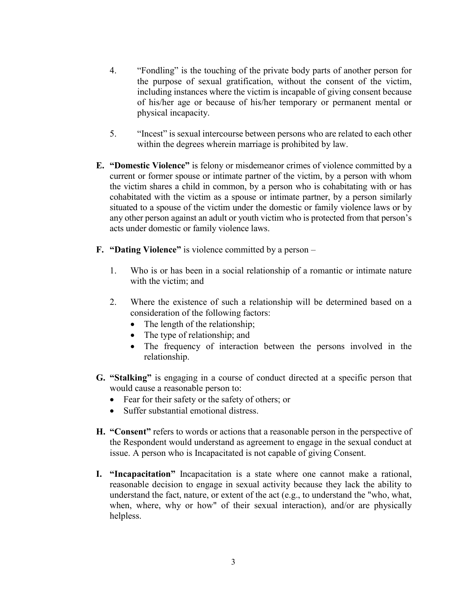- 4. "Fondling" is the touching of the private body parts of another person for the purpose of sexual gratification, without the consent of the victim, including instances where the victim is incapable of giving consent because of his/her age or because of his/her temporary or permanent mental or physical incapacity.
- 5. "Incest" is sexual intercourse between persons who are related to each other within the degrees wherein marriage is prohibited by law.
- **E. "Domestic Violence"** is felony or misdemeanor crimes of violence committed by a current or former spouse or intimate partner of the victim, by a person with whom the victim shares a child in common, by a person who is cohabitating with or has cohabitated with the victim as a spouse or intimate partner, by a person similarly situated to a spouse of the victim under the domestic or family violence laws or by any other person against an adult or youth victim who is protected from that person's acts under domestic or family violence laws.
- **F. "Dating Violence"** is violence committed by a person
	- 1. Who is or has been in a social relationship of a romantic or intimate nature with the victim; and
	- 2. Where the existence of such a relationship will be determined based on a consideration of the following factors:
		- The length of the relationship;
		- The type of relationship; and
		- The frequency of interaction between the persons involved in the relationship.
- **G. "Stalking"** is engaging in a course of conduct directed at a specific person that would cause a reasonable person to:
	- Fear for their safety or the safety of others; or
	- Suffer substantial emotional distress.
- **H. "Consent"** refers to words or actions that a reasonable person in the perspective of the Respondent would understand as agreement to engage in the sexual conduct at issue. A person who is Incapacitated is not capable of giving Consent.
- **I. "Incapacitation"** Incapacitation is a state where one cannot make a rational, reasonable decision to engage in sexual activity because they lack the ability to understand the fact, nature, or extent of the act (e.g., to understand the "who, what, when, where, why or how" of their sexual interaction), and/or are physically helpless.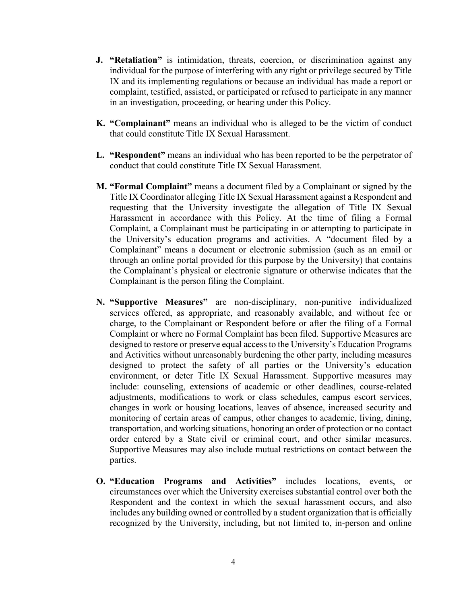- **J. "Retaliation"** is intimidation, threats, coercion, or discrimination against any individual for the purpose of interfering with any right or privilege secured by Title IX and its implementing regulations or because an individual has made a report or complaint, testified, assisted, or participated or refused to participate in any manner in an investigation, proceeding, or hearing under this Policy.
- **K. "Complainant"** means an individual who is alleged to be the victim of conduct that could constitute Title IX Sexual Harassment.
- **L. "Respondent"** means an individual who has been reported to be the perpetrator of conduct that could constitute Title IX Sexual Harassment.
- **M. "Formal Complaint"** means a document filed by a Complainant or signed by the Title IX Coordinator alleging Title IX Sexual Harassment against a Respondent and requesting that the University investigate the allegation of Title IX Sexual Harassment in accordance with this Policy. At the time of filing a Formal Complaint, a Complainant must be participating in or attempting to participate in the University's education programs and activities. A "document filed by a Complainant" means a document or electronic submission (such as an email or through an online portal provided for this purpose by the University) that contains the Complainant's physical or electronic signature or otherwise indicates that the Complainant is the person filing the Complaint.
- **N. "Supportive Measures"** are non-disciplinary, non-punitive individualized services offered, as appropriate, and reasonably available, and without fee or charge, to the Complainant or Respondent before or after the filing of a Formal Complaint or where no Formal Complaint has been filed. Supportive Measures are designed to restore or preserve equal access to the University's Education Programs and Activities without unreasonably burdening the other party, including measures designed to protect the safety of all parties or the University's education environment, or deter Title IX Sexual Harassment. Supportive measures may include: counseling, extensions of academic or other deadlines, course-related adjustments, modifications to work or class schedules, campus escort services, changes in work or housing locations, leaves of absence, increased security and monitoring of certain areas of campus, other changes to academic, living, dining, transportation, and working situations, honoring an order of protection or no contact order entered by a State civil or criminal court, and other similar measures. Supportive Measures may also include mutual restrictions on contact between the parties.
- **O. "Education Programs and Activities"** includes locations, events, or circumstances over which the University exercises substantial control over both the Respondent and the context in which the sexual harassment occurs, and also includes any building owned or controlled by a student organization that is officially recognized by the University, including, but not limited to, in-person and online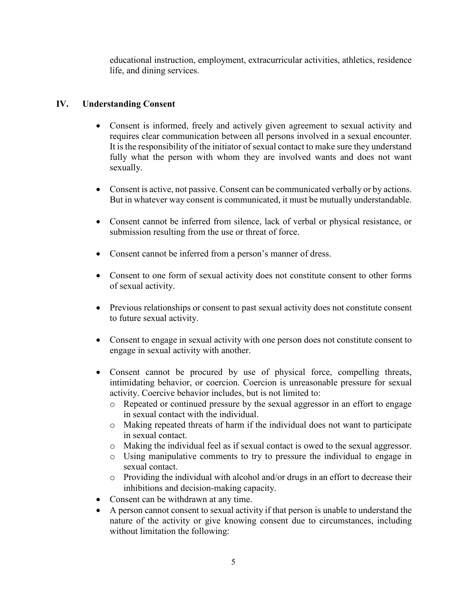educational instruction, employment, extracurricular activities, athletics, residence life, and dining services.

# <span id="page-7-0"></span>**IV. Understanding Consent**

- Consent is informed, freely and actively given agreement to sexual activity and requires clear communication between all persons involved in a sexual encounter. It is the responsibility of the initiator of sexual contact to make sure they understand fully what the person with whom they are involved wants and does not want sexually.
- Consent is active, not passive. Consent can be communicated verbally or by actions. But in whatever way consent is communicated, it must be mutually understandable.
- Consent cannot be inferred from silence, lack of verbal or physical resistance, or submission resulting from the use or threat of force.
- Consent cannot be inferred from a person's manner of dress.
- Consent to one form of sexual activity does not constitute consent to other forms of sexual activity.
- Previous relationships or consent to past sexual activity does not constitute consent to future sexual activity.
- Consent to engage in sexual activity with one person does not constitute consent to engage in sexual activity with another.
- Consent cannot be procured by use of physical force, compelling threats, intimidating behavior, or coercion. Coercion is unreasonable pressure for sexual activity. Coercive behavior includes, but is not limited to:
	- o Repeated or continued pressure by the sexual aggressor in an effort to engage in sexual contact with the individual.
	- o Making repeated threats of harm if the individual does not want to participate in sexual contact.
	- o Making the individual feel as if sexual contact is owed to the sexual aggressor.
	- o Using manipulative comments to try to pressure the individual to engage in sexual contact.
	- o Providing the individual with alcohol and/or drugs in an effort to decrease their inhibitions and decision-making capacity.
- Consent can be withdrawn at any time.
- A person cannot consent to sexual activity if that person is unable to understand the nature of the activity or give knowing consent due to circumstances, including without limitation the following: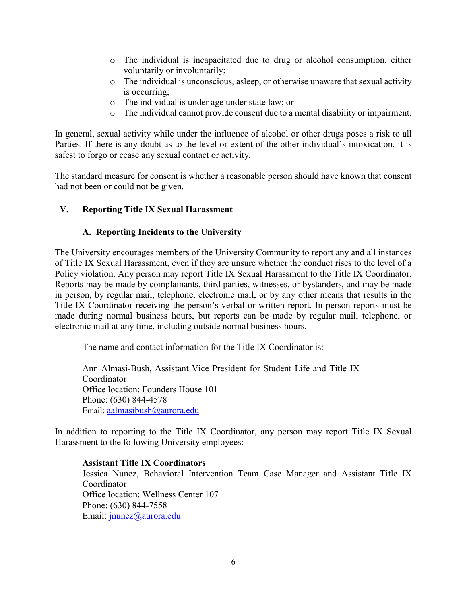- o The individual is incapacitated due to drug or alcohol consumption, either voluntarily or involuntarily;
- o The individual is unconscious, asleep, or otherwise unaware that sexual activity is occurring;
- o The individual is under age under state law; or
- o The individual cannot provide consent due to a mental disability or impairment.

In general, sexual activity while under the influence of alcohol or other drugs poses a risk to all Parties. If there is any doubt as to the level or extent of the other individual's intoxication, it is safest to forgo or cease any sexual contact or activity.

The standard measure for consent is whether a reasonable person should have known that consent had not been or could not be given.

### <span id="page-8-1"></span><span id="page-8-0"></span>**V. Reporting Title IX Sexual Harassment**

### **A. Reporting Incidents to the University**

The University encourages members of the University Community to report any and all instances of Title IX Sexual Harassment, even if they are unsure whether the conduct rises to the level of a Policy violation. Any person may report Title IX Sexual Harassment to the Title IX Coordinator. Reports may be made by complainants, third parties, witnesses, or bystanders, and may be made in person, by regular mail, telephone, electronic mail, or by any other means that results in the Title IX Coordinator receiving the person's verbal or written report. In-person reports must be made during normal business hours, but reports can be made by regular mail, telephone, or electronic mail at any time, including outside normal business hours.

The name and contact information for the Title IX Coordinator is:

Ann Almasi-Bush, Assistant Vice President for Student Life and Title IX Coordinator Office location: Founders House 101 Phone: (630) 844-4578 Email: aalmasibush@aurora.edu

In addition to reporting to the Title IX Coordinator, any person may report Title IX Sexual Harassment to the following University employees:

**Assistant Title IX Coordinators**  Jessica Nunez, Behavioral Intervention Team Case Manager and Assistant Title IX Coordinator Office location: Wellness Center 107 Phone: (630) 844-7558 Email: [jnunez@aurora.edu](mailto:jnunez@aurora.edu)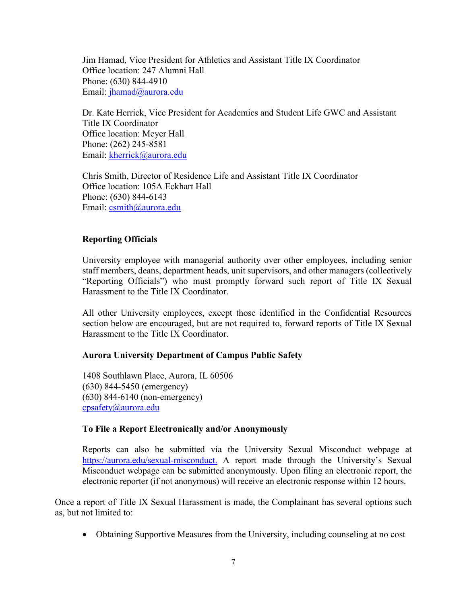Jim Hamad, Vice President for Athletics and Assistant Title IX Coordinator Office location: 247 Alumni Hall Phone: (630) 844-4910 Email: jhamad@aurora.edu

Dr. Kate Herrick, Vice President for Academics and Student Life GWC and Assistant Title IX Coordinator Office location: Meyer Hall Phone: (262) 245-8581 Email: [kherrick@aurora.edu](mailto:kherrick@aurora.edu) 

Chris Smith, Director of Residence Life and Assistant Title IX Coordinator Office location: 105A Eckhart Hall Phone: (630) 844-6143 Email: [csmith@aurora.edu](mailto:csmith@aurora.edu) 

### **Reporting Officials**

University employee with managerial authority over other employees, including senior staff members, deans, department heads, unit supervisors, and other managers (collectively "Reporting Officials") who must promptly forward such report of Title IX Sexual Harassment to the Title IX Coordinator.

All other University employees, except those identified in the Confidential Resources section below are encouraged, but are not required to, forward reports of Title IX Sexual Harassment to the Title IX Coordinator.

### **Aurora University Department of Campus Public Safety**

1408 Southlawn Place, Aurora, IL 60506 (630) 844-5450 (emergency) (630) 844-6140 (non-emergency) [cpsafety@aurora.edu](mailto:cpsafety@aurora.edu) 

### **To File a Report Electronically and/or Anonymously**

Reports can also be submitted via the University Sexual Misconduct webpage at [https://aurora.edu/sexual-misconduct.](https://aurora.edu/sexual-misconduct) A report made through the University's Sexual Misconduct webpage can be submitted anonymously. Upon filing an electronic report, the electronic reporter (if not anonymous) will receive an electronic response within 12 hours.

Once a report of Title IX Sexual Harassment is made, the Complainant has several options such as, but not limited to:

• Obtaining Supportive Measures from the University, including counseling at no cost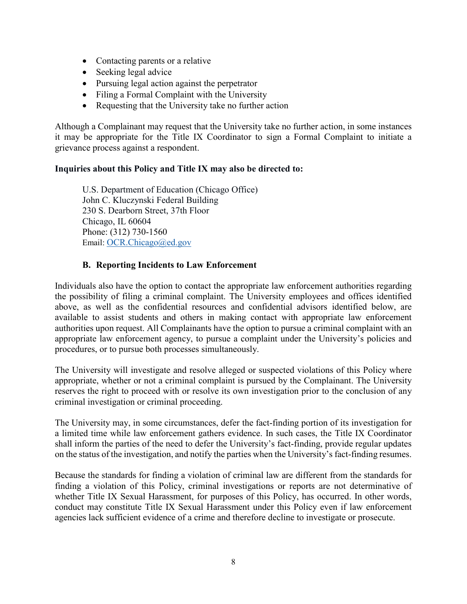- Contacting parents or a relative
- Seeking legal advice
- Pursuing legal action against the perpetrator
- Filing a Formal Complaint with the University
- Requesting that the University take no further action

Although a Complainant may request that the University take no further action, in some instances it may be appropriate for the Title IX Coordinator to sign a Formal Complaint to initiate a grievance process against a respondent.

### **Inquiries about this Policy and Title IX may also be directed to:**

U.S. Department of Education (Chicago Office) John C. Kluczynski Federal Building 230 S. Dearborn Street, 37th Floor Chicago, IL 60604 Phone: (312) 730-1560 Email: OCR.Chicago@ed.gov

### **B. Reporting Incidents to Law Enforcement**

<span id="page-10-0"></span>Individuals also have the option to contact the appropriate law enforcement authorities regarding the possibility of filing a criminal complaint. The University employees and offices identified above, as well as the confidential resources and confidential advisors identified below, are available to assist students and others in making contact with appropriate law enforcement authorities upon request. All Complainants have the option to pursue a criminal complaint with an appropriate law enforcement agency, to pursue a complaint under the University's policies and procedures, or to pursue both processes simultaneously.

The University will investigate and resolve alleged or suspected violations of this Policy where appropriate, whether or not a criminal complaint is pursued by the Complainant. The University reserves the right to proceed with or resolve its own investigation prior to the conclusion of any criminal investigation or criminal proceeding.

The University may, in some circumstances, defer the fact-finding portion of its investigation for a limited time while law enforcement gathers evidence. In such cases, the Title IX Coordinator shall inform the parties of the need to defer the University's fact-finding, provide regular updates on the status of the investigation, and notify the parties when the University's fact-finding resumes.

Because the standards for finding a violation of criminal law are different from the standards for finding a violation of this Policy, criminal investigations or reports are not determinative of whether Title IX Sexual Harassment, for purposes of this Policy, has occurred. In other words, conduct may constitute Title IX Sexual Harassment under this Policy even if law enforcement agencies lack sufficient evidence of a crime and therefore decline to investigate or prosecute.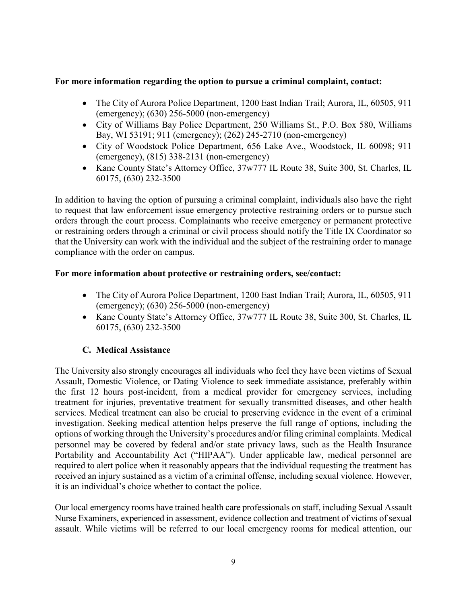### **For more information regarding the option to pursue a criminal complaint, contact:**

- The City of Aurora Police Department, 1200 East Indian Trail; Aurora, IL, 60505, 911 (emergency); (630) 256-5000 (non-emergency)
- City of Williams Bay Police Department, 250 Williams St., P.O. Box 580, Williams Bay, WI 53191; 911 (emergency); (262) 245-2710 (non-emergency)
- City of Woodstock Police Department, 656 Lake Ave., Woodstock, IL 60098; 911 (emergency), (815) 338-2131 (non-emergency)
- Kane County State's Attorney Office, 37w777 IL Route 38, Suite 300, St. Charles, IL 60175, (630) 232-3500

In addition to having the option of pursuing a criminal complaint, individuals also have the right to request that law enforcement issue emergency protective restraining orders or to pursue such orders through the court process. Complainants who receive emergency or permanent protective or restraining orders through a criminal or civil process should notify the Title IX Coordinator so that the University can work with the individual and the subject of the restraining order to manage compliance with the order on campus.

### **For more information about protective or restraining orders, see/contact:**

- The City of Aurora Police Department, 1200 East Indian Trail; Aurora, IL, 60505, 911 (emergency); (630) 256-5000 (non-emergency)
- Kane County State's Attorney Office, 37w777 IL Route 38, Suite 300, St. Charles, IL 60175, (630) 232-3500

### **C. Medical Assistance**

<span id="page-11-0"></span>The University also strongly encourages all individuals who feel they have been victims of Sexual Assault, Domestic Violence, or Dating Violence to seek immediate assistance, preferably within the first 12 hours post-incident, from a medical provider for emergency services, including treatment for injuries, preventative treatment for sexually transmitted diseases, and other health services. Medical treatment can also be crucial to preserving evidence in the event of a criminal investigation. Seeking medical attention helps preserve the full range of options, including the options of working through the University's procedures and/or filing criminal complaints. Medical personnel may be covered by federal and/or state privacy laws, such as the Health Insurance Portability and Accountability Act ("HIPAA"). Under applicable law, medical personnel are required to alert police when it reasonably appears that the individual requesting the treatment has received an injury sustained as a victim of a criminal offense, including sexual violence. However, it is an individual's choice whether to contact the police.

Our local emergency rooms have trained health care professionals on staff, including Sexual Assault Nurse Examiners, experienced in assessment, evidence collection and treatment of victims of sexual assault. While victims will be referred to our local emergency rooms for medical attention, our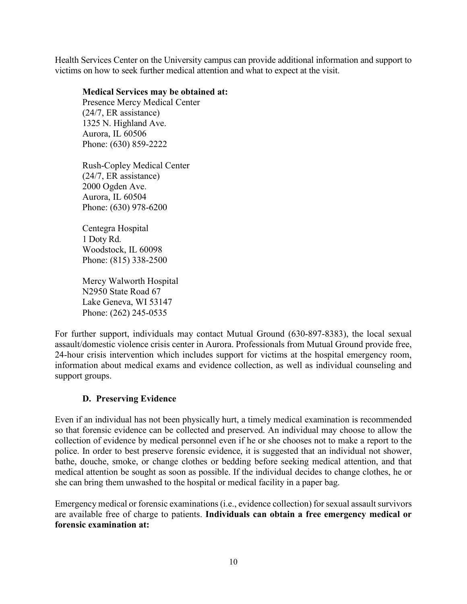Health Services Center on the University campus can provide additional information and support to victims on how to seek further medical attention and what to expect at the visit.

### **Medical Services may be obtained at:**

Presence Mercy Medical Center (24/7, ER assistance) 1325 N. Highland Ave. Aurora, IL 60506 Phone: (630) 859-2222

Rush-Copley Medical Center (24/7, ER assistance) 2000 Ogden Ave. Aurora, IL 60504 Phone: (630) 978-6200

Centegra Hospital 1 Doty Rd. Woodstock, IL 60098 Phone: (815) 338-2500

Mercy Walworth Hospital N2950 State Road 67 Lake Geneva, WI 53147 Phone: (262) 245-0535

For further support, individuals may contact Mutual Ground (630-897-8383), the local sexual assault/domestic violence crisis center in Aurora. Professionals from Mutual Ground provide free, 24-hour crisis intervention which includes support for victims at the hospital emergency room, information about medical exams and evidence collection, as well as individual counseling and support groups.

### **D. Preserving Evidence**

<span id="page-12-0"></span>Even if an individual has not been physically hurt, a timely medical examination is recommended so that forensic evidence can be collected and preserved. An individual may choose to allow the collection of evidence by medical personnel even if he or she chooses not to make a report to the police. In order to best preserve forensic evidence, it is suggested that an individual not shower, bathe, douche, smoke, or change clothes or bedding before seeking medical attention, and that medical attention be sought as soon as possible. If the individual decides to change clothes, he or she can bring them unwashed to the hospital or medical facility in a paper bag.

Emergency medical or forensic examinations (i.e., evidence collection) for sexual assault survivors are available free of charge to patients. **Individuals can obtain a free emergency medical or forensic examination at:**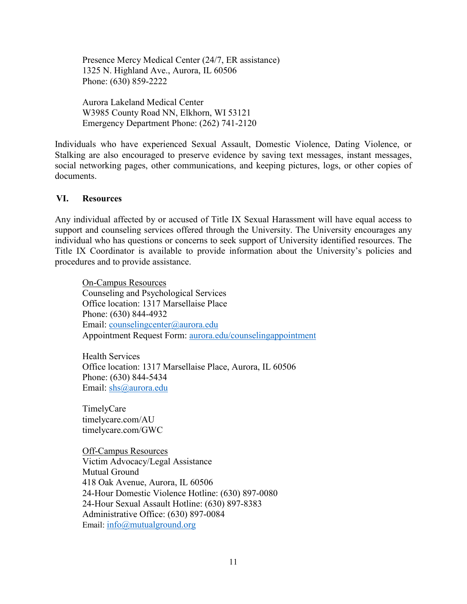Presence Mercy Medical Center (24/7, ER assistance) 1325 N. Highland Ave., Aurora, IL 60506 Phone: (630) 859-2222

Aurora Lakeland Medical Center W3985 County Road NN, Elkhorn, WI 53121 Emergency Department Phone: (262) 741-2120

Individuals who have experienced Sexual Assault, Domestic Violence, Dating Violence, or Stalking are also encouraged to preserve evidence by saving text messages, instant messages, social networking pages, other communications, and keeping pictures, logs, or other copies of documents.

### <span id="page-13-0"></span>**VI. Resources**

Any individual affected by or accused of Title IX Sexual Harassment will have equal access to support and counseling services offered through the University. The University encourages any individual who has questions or concerns to seek support of University identified resources. The Title IX Coordinator is available to provide information about the University's policies and procedures and to provide assistance.

On-Campus Resources Counseling and Psychological Services Office location: 1317 Marsellaise Place Phone: (630) 844-4932 Email: [counselingcenter@aurora.edu](mailto:counselingcenter@aurora.edu)  Appointment Request Form: [aurora.edu/counselingappointment](https://aurora.edu/counselingappointment)

Health Services Office location: 1317 Marsellaise Place, Aurora, IL 60506 Phone: (630) 844-5434 Email: [shs@aurora.edu](mailto:shs@aurora.edu) 

TimelyCare timelycare.com/AU timelycare.com/GWC

Off-Campus Resources Victim Advocacy/Legal Assistance Mutual Ground 418 Oak Avenue, Aurora, IL 60506 24-Hour Domestic Violence Hotline: (630) 897-0080 24-Hour Sexual Assault Hotline: (630) 897-8383 Administrative Office: (630) 897-0084 Email: [info@mutualground.org](mailto:info@mutualground.org)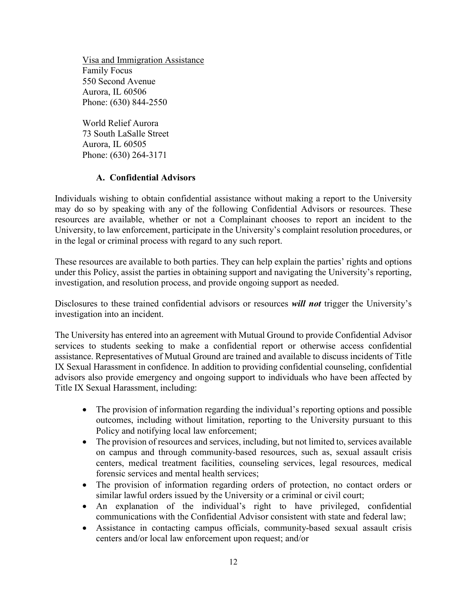Visa and Immigration Assistance Family Focus 550 Second Avenue Aurora, IL 60506 Phone: (630) 844-2550

World Relief Aurora 73 South LaSalle Street Aurora, IL 60505 Phone: (630) 264-3171

### **A. Confidential Advisors**

<span id="page-14-0"></span>Individuals wishing to obtain confidential assistance without making a report to the University may do so by speaking with any of the following Confidential Advisors or resources. These resources are available, whether or not a Complainant chooses to report an incident to the University, to law enforcement, participate in the University's complaint resolution procedures, or in the legal or criminal process with regard to any such report.

These resources are available to both parties. They can help explain the parties' rights and options under this Policy, assist the parties in obtaining support and navigating the University's reporting, investigation, and resolution process, and provide ongoing support as needed.

Disclosures to these trained confidential advisors or resources *will not* trigger the University's investigation into an incident.

The University has entered into an agreement with Mutual Ground to provide Confidential Advisor services to students seeking to make a confidential report or otherwise access confidential assistance. Representatives of Mutual Ground are trained and available to discuss incidents of Title IX Sexual Harassment in confidence. In addition to providing confidential counseling, confidential advisors also provide emergency and ongoing support to individuals who have been affected by Title IX Sexual Harassment, including:

- The provision of information regarding the individual's reporting options and possible outcomes, including without limitation, reporting to the University pursuant to this Policy and notifying local law enforcement;
- The provision of resources and services, including, but not limited to, services available on campus and through community-based resources, such as, sexual assault crisis centers, medical treatment facilities, counseling services, legal resources, medical forensic services and mental health services;
- The provision of information regarding orders of protection, no contact orders or similar lawful orders issued by the University or a criminal or civil court;
- An explanation of the individual's right to have privileged, confidential communications with the Confidential Advisor consistent with state and federal law;
- Assistance in contacting campus officials, community-based sexual assault crisis centers and/or local law enforcement upon request; and/or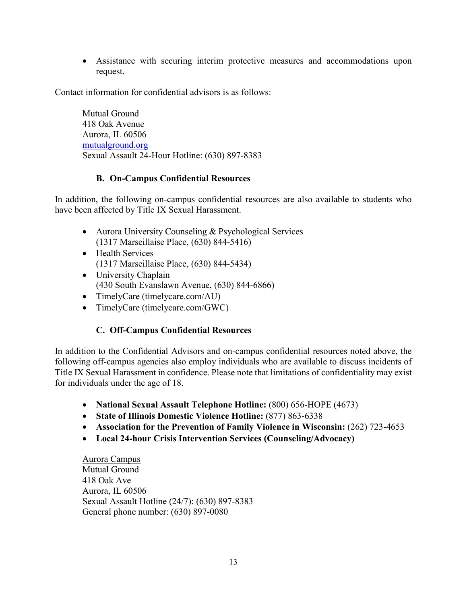• Assistance with securing interim protective measures and accommodations upon request.

Contact information for confidential advisors is as follows:

Mutual Ground 418 Oak Avenue Aurora, IL 60506 [mutualground.org](https://mutualground.org/)  Sexual Assault 24-Hour Hotline[: \(630\) 897-8383](callto:630-897-8383) 

### **B. On-Campus Confidential Resources**

<span id="page-15-0"></span>In addition, the following on-campus confidential resources are also available to students who have been affected by Title IX Sexual Harassment.

- Aurora University Counseling & Psychological Services (1317 Marseillaise Place, (630) 844-5416)
- Health Services (1317 Marseillaise Place, (630) 844-5434)
- University Chaplain (430 South Evanslawn Avenue, (630) 844-6866)
- TimelyCare (timelycare.com/AU)
- TimelyCare (timelycare.com/GWC)

### **C. Off-Campus Confidential Resources**

<span id="page-15-1"></span>In addition to the Confidential Advisors and on-campus confidential resources noted above, the following off-campus agencies also employ individuals who are available to discuss incidents of Title IX Sexual Harassment in confidence. Please note that limitations of confidentiality may exist for individuals under the age of 18.

- **National Sexual Assault Telephone Hotline:** (800) 656-HOPE (4673)
- **State of Illinois Domestic Violence Hotline:** (877) 863-6338
- **Association for the Prevention of Family Violence in Wisconsin: (262) 723-4653**
- **Local 24-hour Crisis Intervention Services (Counseling/Advocacy)**

Aurora Campus Mutual Ground 418 Oak Ave Aurora, IL 60506 Sexual Assault Hotline (24/7): (630) 897-8383 General phone number: (630) 897-0080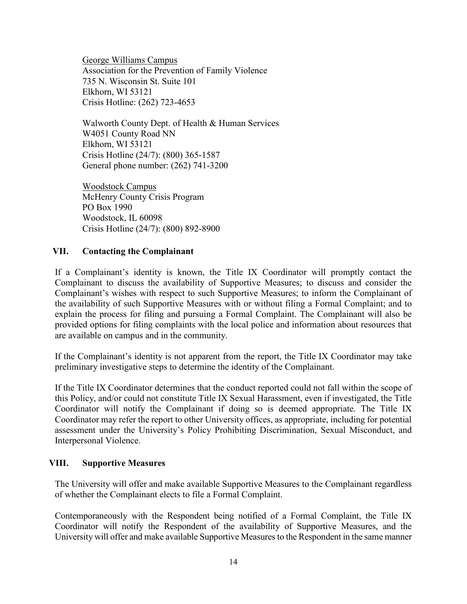George Williams Campus Association for the Prevention of Family Violence 735 N. Wisconsin St. Suite 101 Elkhorn, WI 53121 Crisis Hotline: (262) 723-4653

Walworth County Dept. of Health & Human Services W4051 County Road NN Elkhorn, WI 53121 Crisis Hotline (24/7): (800) 365-1587 General phone number: (262) 741-3200

Woodstock Campus McHenry County Crisis Program PO Box 1990 Woodstock, IL 60098 Crisis Hotline (24/7): (800) 892-8900

### <span id="page-16-0"></span>**VII. Contacting the Complainant**

If a Complainant's identity is known, the Title IX Coordinator will promptly contact the Complainant to discuss the availability of Supportive Measures; to discuss and consider the Complainant's wishes with respect to such Supportive Measures; to inform the Complainant of the availability of such Supportive Measures with or without filing a Formal Complaint; and to explain the process for filing and pursuing a Formal Complaint. The Complainant will also be provided options for filing complaints with the local police and information about resources that are available on campus and in the community.

If the Complainant's identity is not apparent from the report, the Title IX Coordinator may take preliminary investigative steps to determine the identity of the Complainant.

If the Title IX Coordinator determines that the conduct reported could not fall within the scope of this Policy, and/or could not constitute Title IX Sexual Harassment, even if investigated, the Title Coordinator will notify the Complainant if doing so is deemed appropriate. The Title IX Coordinator may refer the report to other University offices, as appropriate, including for potential assessment under the University's Policy Prohibiting Discrimination, Sexual Misconduct, and Interpersonal Violence.

### <span id="page-16-1"></span>**VIII. Supportive Measures**

The University will offer and make available Supportive Measures to the Complainant regardless of whether the Complainant elects to file a Formal Complaint.

Contemporaneously with the Respondent being notified of a Formal Complaint, the Title IX Coordinator will notify the Respondent of the availability of Supportive Measures, and the University will offer and make available Supportive Measures to the Respondent in the same manner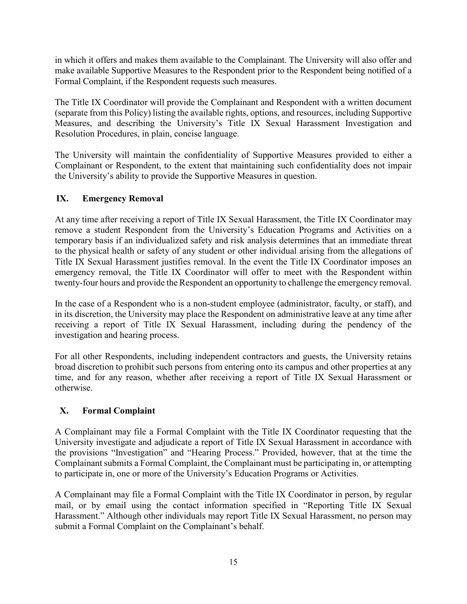in which it offers and makes them available to the Complainant. The University will also offer and make available Supportive Measures to the Respondent prior to the Respondent being notified of a Formal Complaint, if the Respondent requests such measures.

The Title IX Coordinator will provide the Complainant and Respondent with a written document (separate from this Policy) listing the available rights, options, and resources, including Supportive Measures, and describing the University's Title IX Sexual Harassment Investigation and Resolution Procedures, in plain, concise language.

The University will maintain the confidentiality of Supportive Measures provided to either a Complainant or Respondent, to the extent that maintaining such confidentiality does not impair the University's ability to provide the Supportive Measures in question.

# <span id="page-17-0"></span>**IX. Emergency Removal**

At any time after receiving a report of Title IX Sexual Harassment, the Title IX Coordinator may remove a student Respondent from the University's Education Programs and Activities on a temporary basis if an individualized safety and risk analysis determines that an immediate threat to the physical health or safety of any student or other individual arising from the allegations of Title IX Sexual Harassment justifies removal. In the event the Title IX Coordinator imposes an emergency removal, the Title IX Coordinator will offer to meet with the Respondent within twenty-four hours and provide the Respondent an opportunity to challenge the emergency removal.

In the case of a Respondent who is a non-student employee (administrator, faculty, or staff), and in its discretion, the University may place the Respondent on administrative leave at any time after receiving a report of Title IX Sexual Harassment, including during the pendency of the investigation and hearing process.

For all other Respondents, including independent contractors and guests, the University retains broad discretion to prohibit such persons from entering onto its campus and other properties at any time, and for any reason, whether after receiving a report of Title IX Sexual Harassment or otherwise.

# <span id="page-17-1"></span>**X. Formal Complaint**

A Complainant may file a Formal Complaint with the Title IX Coordinator requesting that the University investigate and adjudicate a report of Title IX Sexual Harassment in accordance with the provisions "Investigation" and "Hearing Process." Provided, however, that at the time the Complainant submits a Formal Complaint, the Complainant must be participating in, or attempting to participate in, one or more of the University's Education Programs or Activities.

A Complainant may file a Formal Complaint with the Title IX Coordinator in person, by regular mail, or by email using the contact information specified in "Reporting Title IX Sexual Harassment." Although other individuals may report Title IX Sexual Harassment, no person may submit a Formal Complaint on the Complainant's behalf.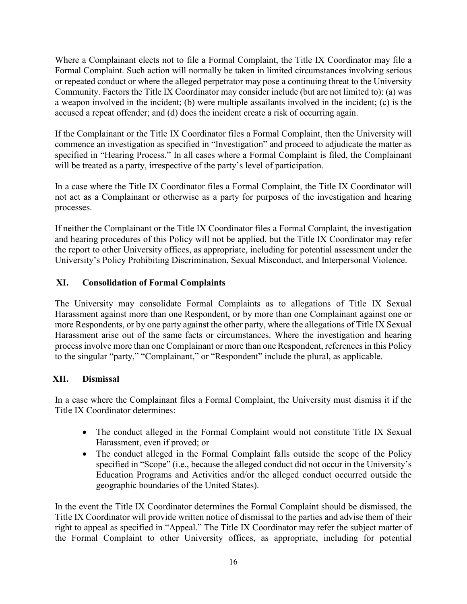Where a Complainant elects not to file a Formal Complaint, the Title IX Coordinator may file a Formal Complaint. Such action will normally be taken in limited circumstances involving serious or repeated conduct or where the alleged perpetrator may pose a continuing threat to the University Community. Factors the Title IX Coordinator may consider include (but are not limited to): (a) was a weapon involved in the incident; (b) were multiple assailants involved in the incident; (c) is the accused a repeat offender; and (d) does the incident create a risk of occurring again.

If the Complainant or the Title IX Coordinator files a Formal Complaint, then the University will commence an investigation as specified in "Investigation" and proceed to adjudicate the matter as specified in "Hearing Process." In all cases where a Formal Complaint is filed, the Complainant will be treated as a party, irrespective of the party's level of participation.

In a case where the Title IX Coordinator files a Formal Complaint, the Title IX Coordinator will not act as a Complainant or otherwise as a party for purposes of the investigation and hearing processes.

If neither the Complainant or the Title IX Coordinator files a Formal Complaint, the investigation and hearing procedures of this Policy will not be applied, but the Title IX Coordinator may refer the report to other University offices, as appropriate, including for potential assessment under the University's Policy Prohibiting Discrimination, Sexual Misconduct, and Interpersonal Violence.

# <span id="page-18-0"></span>**XI. Consolidation of Formal Complaints**

The University may consolidate Formal Complaints as to allegations of Title IX Sexual Harassment against more than one Respondent, or by more than one Complainant against one or more Respondents, or by one party against the other party, where the allegations of Title IX Sexual Harassment arise out of the same facts or circumstances. Where the investigation and hearing process involve more than one Complainant or more than one Respondent, references in this Policy to the singular "party," "Complainant," or "Respondent" include the plural, as applicable.

### <span id="page-18-1"></span>**XII. Dismissal**

In a case where the Complainant files a Formal Complaint, the University must dismiss it if the Title IX Coordinator determines:

- The conduct alleged in the Formal Complaint would not constitute Title IX Sexual Harassment, even if proved; or
- The conduct alleged in the Formal Complaint falls outside the scope of the Policy specified in "Scope" (i.e., because the alleged conduct did not occur in the University's Education Programs and Activities and/or the alleged conduct occurred outside the geographic boundaries of the United States).

In the event the Title IX Coordinator determines the Formal Complaint should be dismissed, the Title IX Coordinator will provide written notice of dismissal to the parties and advise them of their right to appeal as specified in "Appeal." The Title IX Coordinator may refer the subject matter of the Formal Complaint to other University offices, as appropriate, including for potential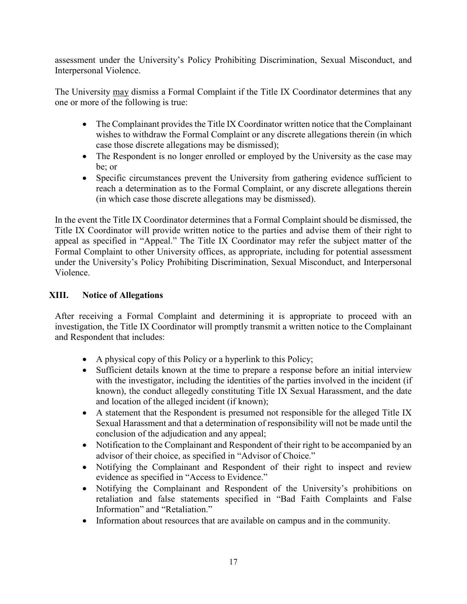assessment under the University's Policy Prohibiting Discrimination, Sexual Misconduct, and Interpersonal Violence.

The University may dismiss a Formal Complaint if the Title IX Coordinator determines that any one or more of the following is true:

- The Complainant provides the Title IX Coordinator written notice that the Complainant wishes to withdraw the Formal Complaint or any discrete allegations therein (in which case those discrete allegations may be dismissed);
- The Respondent is no longer enrolled or employed by the University as the case may be; or
- Specific circumstances prevent the University from gathering evidence sufficient to reach a determination as to the Formal Complaint, or any discrete allegations therein (in which case those discrete allegations may be dismissed).

In the event the Title IX Coordinator determines that a Formal Complaint should be dismissed, the Title IX Coordinator will provide written notice to the parties and advise them of their right to appeal as specified in "Appeal." The Title IX Coordinator may refer the subject matter of the Formal Complaint to other University offices, as appropriate, including for potential assessment under the University's Policy Prohibiting Discrimination, Sexual Misconduct, and Interpersonal Violence.

# <span id="page-19-0"></span>**XIII. Notice of Allegations**

After receiving a Formal Complaint and determining it is appropriate to proceed with an investigation, the Title IX Coordinator will promptly transmit a written notice to the Complainant and Respondent that includes:

- A physical copy of this Policy or a hyperlink to this Policy;
- Sufficient details known at the time to prepare a response before an initial interview with the investigator, including the identities of the parties involved in the incident (if known), the conduct allegedly constituting Title IX Sexual Harassment, and the date and location of the alleged incident (if known);
- A statement that the Respondent is presumed not responsible for the alleged Title IX Sexual Harassment and that a determination of responsibility will not be made until the conclusion of the adjudication and any appeal;
- Notification to the Complainant and Respondent of their right to be accompanied by an advisor of their choice, as specified in "Advisor of Choice."
- Notifying the Complainant and Respondent of their right to inspect and review evidence as specified in "Access to Evidence."
- Notifying the Complainant and Respondent of the University's prohibitions on retaliation and false statements specified in "Bad Faith Complaints and False Information" and "Retaliation."
- Information about resources that are available on campus and in the community.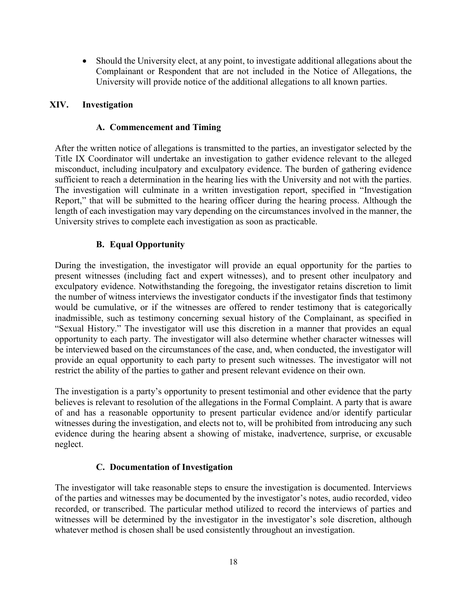• Should the University elect, at any point, to investigate additional allegations about the Complainant or Respondent that are not included in the Notice of Allegations, the University will provide notice of the additional allegations to all known parties.

### <span id="page-20-1"></span><span id="page-20-0"></span>**XIV. Investigation**

### **A. Commencement and Timing**

After the written notice of allegations is transmitted to the parties, an investigator selected by the Title IX Coordinator will undertake an investigation to gather evidence relevant to the alleged misconduct, including inculpatory and exculpatory evidence. The burden of gathering evidence sufficient to reach a determination in the hearing lies with the University and not with the parties. The investigation will culminate in a written investigation report, specified in "Investigation Report," that will be submitted to the hearing officer during the hearing process. Although the length of each investigation may vary depending on the circumstances involved in the manner, the University strives to complete each investigation as soon as practicable.

### **B. Equal Opportunity**

<span id="page-20-2"></span>During the investigation, the investigator will provide an equal opportunity for the parties to present witnesses (including fact and expert witnesses), and to present other inculpatory and exculpatory evidence. Notwithstanding the foregoing, the investigator retains discretion to limit the number of witness interviews the investigator conducts if the investigator finds that testimony would be cumulative, or if the witnesses are offered to render testimony that is categorically inadmissible, such as testimony concerning sexual history of the Complainant, as specified in "Sexual History." The investigator will use this discretion in a manner that provides an equal opportunity to each party. The investigator will also determine whether character witnesses will be interviewed based on the circumstances of the case, and, when conducted, the investigator will provide an equal opportunity to each party to present such witnesses. The investigator will not restrict the ability of the parties to gather and present relevant evidence on their own.

The investigation is a party's opportunity to present testimonial and other evidence that the party believes is relevant to resolution of the allegations in the Formal Complaint. A party that is aware of and has a reasonable opportunity to present particular evidence and/or identify particular witnesses during the investigation, and elects not to, will be prohibited from introducing any such evidence during the hearing absent a showing of mistake, inadvertence, surprise, or excusable neglect.

### **C. Documentation of Investigation**

<span id="page-20-3"></span>The investigator will take reasonable steps to ensure the investigation is documented. Interviews of the parties and witnesses may be documented by the investigator's notes, audio recorded, video recorded, or transcribed. The particular method utilized to record the interviews of parties and witnesses will be determined by the investigator in the investigator's sole discretion, although whatever method is chosen shall be used consistently throughout an investigation.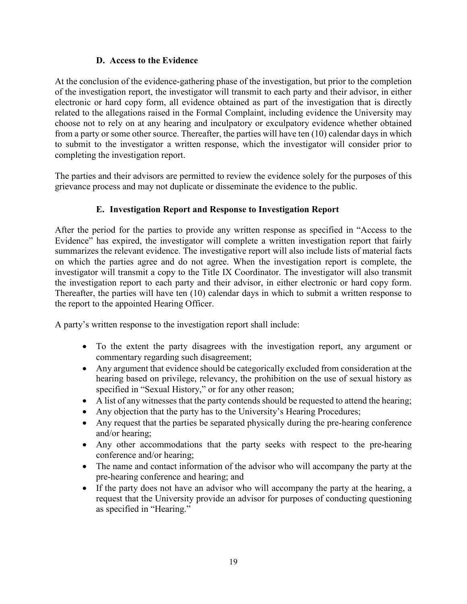### **D. Access to the Evidence**

<span id="page-21-0"></span>At the conclusion of the evidence-gathering phase of the investigation, but prior to the completion of the investigation report, the investigator will transmit to each party and their advisor, in either electronic or hard copy form, all evidence obtained as part of the investigation that is directly related to the allegations raised in the Formal Complaint, including evidence the University may choose not to rely on at any hearing and inculpatory or exculpatory evidence whether obtained from a party or some other source. Thereafter, the parties will have ten (10) calendar days in which to submit to the investigator a written response, which the investigator will consider prior to completing the investigation report.

The parties and their advisors are permitted to review the evidence solely for the purposes of this grievance process and may not duplicate or disseminate the evidence to the public.

# **E. Investigation Report and Response to Investigation Report**

<span id="page-21-1"></span>After the period for the parties to provide any written response as specified in "Access to the Evidence" has expired, the investigator will complete a written investigation report that fairly summarizes the relevant evidence. The investigative report will also include lists of material facts on which the parties agree and do not agree. When the investigation report is complete, the investigator will transmit a copy to the Title IX Coordinator. The investigator will also transmit the investigation report to each party and their advisor, in either electronic or hard copy form. Thereafter, the parties will have ten (10) calendar days in which to submit a written response to the report to the appointed Hearing Officer.

A party's written response to the investigation report shall include:

- To the extent the party disagrees with the investigation report, any argument or commentary regarding such disagreement;
- Any argument that evidence should be categorically excluded from consideration at the hearing based on privilege, relevancy, the prohibition on the use of sexual history as specified in "Sexual History," or for any other reason;
- A list of any witnesses that the party contends should be requested to attend the hearing;
- Any objection that the party has to the University's Hearing Procedures;
- Any request that the parties be separated physically during the pre-hearing conference and/or hearing;
- Any other accommodations that the party seeks with respect to the pre-hearing conference and/or hearing;
- The name and contact information of the advisor who will accompany the party at the pre-hearing conference and hearing; and
- If the party does not have an advisor who will accompany the party at the hearing, a request that the University provide an advisor for purposes of conducting questioning as specified in "Hearing."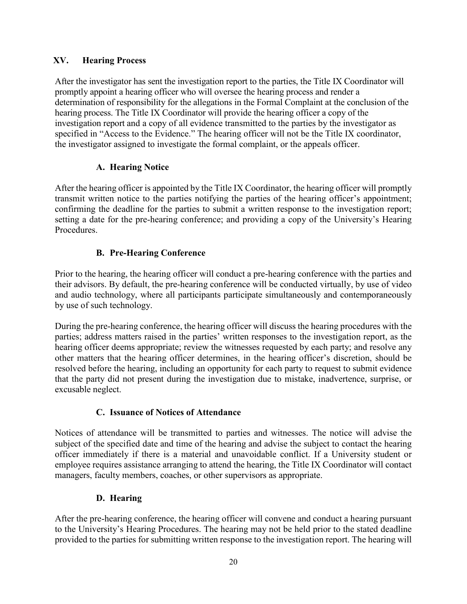# <span id="page-22-0"></span>**XV. Hearing Process**

After the investigator has sent the investigation report to the parties, the Title IX Coordinator will promptly appoint a hearing officer who will oversee the hearing process and render a determination of responsibility for the allegations in the Formal Complaint at the conclusion of the hearing process. The Title IX Coordinator will provide the hearing officer a copy of the investigation report and a copy of all evidence transmitted to the parties by the investigator as specified in "Access to the Evidence." The hearing officer will not be the Title IX coordinator, the investigator assigned to investigate the formal complaint, or the appeals officer.

# **A. Hearing Notice**

<span id="page-22-1"></span>After the hearing officer is appointed by the Title IX Coordinator, the hearing officer will promptly transmit written notice to the parties notifying the parties of the hearing officer's appointment; confirming the deadline for the parties to submit a written response to the investigation report; setting a date for the pre-hearing conference; and providing a copy of the University's Hearing Procedures.

# **B. Pre-Hearing Conference**

<span id="page-22-2"></span>Prior to the hearing, the hearing officer will conduct a pre-hearing conference with the parties and their advisors. By default, the pre-hearing conference will be conducted virtually, by use of video and audio technology, where all participants participate simultaneously and contemporaneously by use of such technology.

During the pre-hearing conference, the hearing officer will discuss the hearing procedures with the parties; address matters raised in the parties' written responses to the investigation report, as the hearing officer deems appropriate; review the witnesses requested by each party; and resolve any other matters that the hearing officer determines, in the hearing officer's discretion, should be resolved before the hearing, including an opportunity for each party to request to submit evidence that the party did not present during the investigation due to mistake, inadvertence, surprise, or excusable neglect.

### **C. Issuance of Notices of Attendance**

<span id="page-22-3"></span>Notices of attendance will be transmitted to parties and witnesses. The notice will advise the subject of the specified date and time of the hearing and advise the subject to contact the hearing officer immediately if there is a material and unavoidable conflict. If a University student or employee requires assistance arranging to attend the hearing, the Title IX Coordinator will contact managers, faculty members, coaches, or other supervisors as appropriate.

# **D. Hearing**

<span id="page-22-4"></span>After the pre-hearing conference, the hearing officer will convene and conduct a hearing pursuant to the University's Hearing Procedures. The hearing may not be held prior to the stated deadline provided to the parties for submitting written response to the investigation report. The hearing will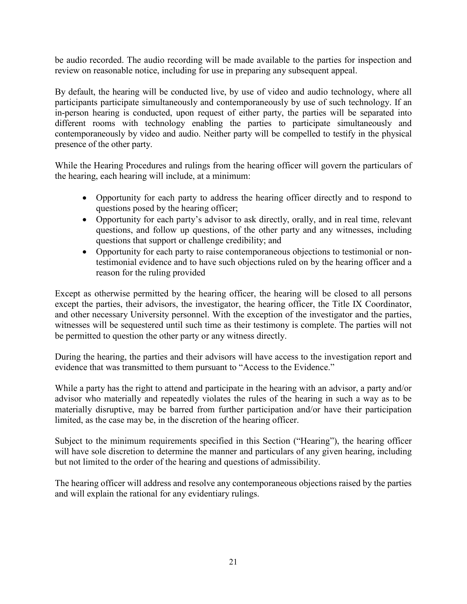be audio recorded. The audio recording will be made available to the parties for inspection and review on reasonable notice, including for use in preparing any subsequent appeal.

By default, the hearing will be conducted live, by use of video and audio technology, where all participants participate simultaneously and contemporaneously by use of such technology. If an in-person hearing is conducted, upon request of either party, the parties will be separated into different rooms with technology enabling the parties to participate simultaneously and contemporaneously by video and audio. Neither party will be compelled to testify in the physical presence of the other party.

While the Hearing Procedures and rulings from the hearing officer will govern the particulars of the hearing, each hearing will include, at a minimum:

- Opportunity for each party to address the hearing officer directly and to respond to questions posed by the hearing officer;
- Opportunity for each party's advisor to ask directly, orally, and in real time, relevant questions, and follow up questions, of the other party and any witnesses, including questions that support or challenge credibility; and
- Opportunity for each party to raise contemporaneous objections to testimonial or nontestimonial evidence and to have such objections ruled on by the hearing officer and a reason for the ruling provided

Except as otherwise permitted by the hearing officer, the hearing will be closed to all persons except the parties, their advisors, the investigator, the hearing officer, the Title IX Coordinator, and other necessary University personnel. With the exception of the investigator and the parties, witnesses will be sequestered until such time as their testimony is complete. The parties will not be permitted to question the other party or any witness directly.

During the hearing, the parties and their advisors will have access to the investigation report and evidence that was transmitted to them pursuant to "Access to the Evidence."

While a party has the right to attend and participate in the hearing with an advisor, a party and/or advisor who materially and repeatedly violates the rules of the hearing in such a way as to be materially disruptive, may be barred from further participation and/or have their participation limited, as the case may be, in the discretion of the hearing officer.

Subject to the minimum requirements specified in this Section ("Hearing"), the hearing officer will have sole discretion to determine the manner and particulars of any given hearing, including but not limited to the order of the hearing and questions of admissibility.

The hearing officer will address and resolve any contemporaneous objections raised by the parties and will explain the rational for any evidentiary rulings.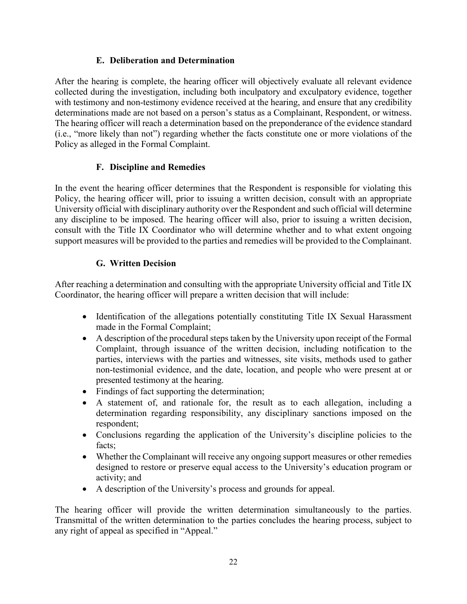# **E. Deliberation and Determination**

<span id="page-24-0"></span>After the hearing is complete, the hearing officer will objectively evaluate all relevant evidence collected during the investigation, including both inculpatory and exculpatory evidence, together with testimony and non-testimony evidence received at the hearing, and ensure that any credibility determinations made are not based on a person's status as a Complainant, Respondent, or witness. The hearing officer will reach a determination based on the preponderance of the evidence standard (i.e., "more likely than not") regarding whether the facts constitute one or more violations of the Policy as alleged in the Formal Complaint.

# **F. Discipline and Remedies**

<span id="page-24-1"></span>In the event the hearing officer determines that the Respondent is responsible for violating this Policy, the hearing officer will, prior to issuing a written decision, consult with an appropriate University official with disciplinary authority over the Respondent and such official will determine any discipline to be imposed. The hearing officer will also, prior to issuing a written decision, consult with the Title IX Coordinator who will determine whether and to what extent ongoing support measures will be provided to the parties and remedies will be provided to the Complainant.

# **G. Written Decision**

<span id="page-24-2"></span>After reaching a determination and consulting with the appropriate University official and Title IX Coordinator, the hearing officer will prepare a written decision that will include:

- Identification of the allegations potentially constituting Title IX Sexual Harassment made in the Formal Complaint;
- A description of the procedural steps taken by the University upon receipt of the Formal Complaint, through issuance of the written decision, including notification to the parties, interviews with the parties and witnesses, site visits, methods used to gather non-testimonial evidence, and the date, location, and people who were present at or presented testimony at the hearing.
- Findings of fact supporting the determination;
- A statement of, and rationale for, the result as to each allegation, including a determination regarding responsibility, any disciplinary sanctions imposed on the respondent;
- Conclusions regarding the application of the University's discipline policies to the facts;
- Whether the Complainant will receive any ongoing support measures or other remedies designed to restore or preserve equal access to the University's education program or activity; and
- A description of the University's process and grounds for appeal.

The hearing officer will provide the written determination simultaneously to the parties. Transmittal of the written determination to the parties concludes the hearing process, subject to any right of appeal as specified in "Appeal."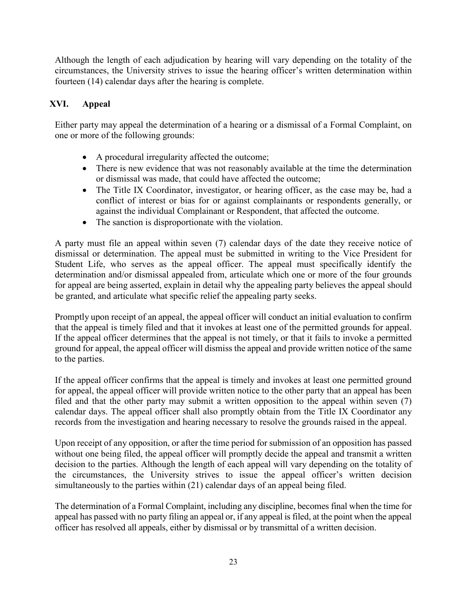Although the length of each adjudication by hearing will vary depending on the totality of the circumstances, the University strives to issue the hearing officer's written determination within fourteen (14) calendar days after the hearing is complete.

# <span id="page-25-0"></span>**XVI. Appeal**

Either party may appeal the determination of a hearing or a dismissal of a Formal Complaint, on one or more of the following grounds:

- A procedural irregularity affected the outcome;
- There is new evidence that was not reasonably available at the time the determination or dismissal was made, that could have affected the outcome;
- The Title IX Coordinator, investigator, or hearing officer, as the case may be, had a conflict of interest or bias for or against complainants or respondents generally, or against the individual Complainant or Respondent, that affected the outcome.
- The sanction is disproportionate with the violation.

A party must file an appeal within seven (7) calendar days of the date they receive notice of dismissal or determination. The appeal must be submitted in writing to the Vice President for Student Life, who serves as the appeal officer. The appeal must specifically identify the determination and/or dismissal appealed from, articulate which one or more of the four grounds for appeal are being asserted, explain in detail why the appealing party believes the appeal should be granted, and articulate what specific relief the appealing party seeks.

Promptly upon receipt of an appeal, the appeal officer will conduct an initial evaluation to confirm that the appeal is timely filed and that it invokes at least one of the permitted grounds for appeal. If the appeal officer determines that the appeal is not timely, or that it fails to invoke a permitted ground for appeal, the appeal officer will dismiss the appeal and provide written notice of the same to the parties.

If the appeal officer confirms that the appeal is timely and invokes at least one permitted ground for appeal, the appeal officer will provide written notice to the other party that an appeal has been filed and that the other party may submit a written opposition to the appeal within seven (7) calendar days. The appeal officer shall also promptly obtain from the Title IX Coordinator any records from the investigation and hearing necessary to resolve the grounds raised in the appeal.

Upon receipt of any opposition, or after the time period for submission of an opposition has passed without one being filed, the appeal officer will promptly decide the appeal and transmit a written decision to the parties. Although the length of each appeal will vary depending on the totality of the circumstances, the University strives to issue the appeal officer's written decision simultaneously to the parties within (21) calendar days of an appeal being filed.

The determination of a Formal Complaint, including any discipline, becomes final when the time for appeal has passed with no party filing an appeal or, if any appeal is filed, at the point when the appeal officer has resolved all appeals, either by dismissal or by transmittal of a written decision.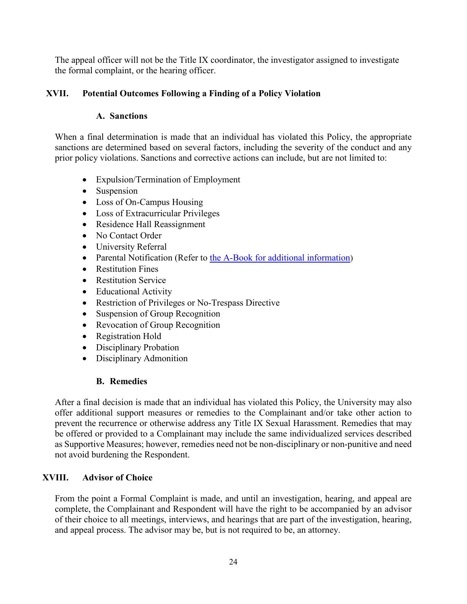The appeal officer will not be the Title IX coordinator, the investigator assigned to investigate the formal complaint, or the hearing officer.

# <span id="page-26-1"></span><span id="page-26-0"></span>**XVII. Potential Outcomes Following a Finding of a Policy Violation**

### **A. Sanctions**

When a final determination is made that an individual has violated this Policy, the appropriate sanctions are determined based on several factors, including the severity of the conduct and any prior policy violations. Sanctions and corrective actions can include, but are not limited to:

- Expulsion/Termination of Employment
- Suspension
- Loss of On-Campus Housing
- Loss of Extracurricular Privileges
- Residence Hall Reassignment
- No Contact Order
- University Referral
- Parental Notification (Refer to [the A-Book for additional information\)](https://aurora.edu/documents/abook/abook.pdf)
- Restitution Fines
- Restitution Service
- Educational Activity
- Restriction of Privileges or No-Trespass Directive
- Suspension of Group Recognition
- Revocation of Group Recognition
- Registration Hold
- Disciplinary Probation
- Disciplinary Admonition

### **B. Remedies**

<span id="page-26-2"></span>After a final decision is made that an individual has violated this Policy, the University may also offer additional support measures or remedies to the Complainant and/or take other action to prevent the recurrence or otherwise address any Title IX Sexual Harassment. Remedies that may be offered or provided to a Complainant may include the same individualized services described as Supportive Measures; however, remedies need not be non-disciplinary or non-punitive and need not avoid burdening the Respondent.

### <span id="page-26-3"></span>**XVIII. Advisor of Choice**

From the point a Formal Complaint is made, and until an investigation, hearing, and appeal are complete, the Complainant and Respondent will have the right to be accompanied by an advisor of their choice to all meetings, interviews, and hearings that are part of the investigation, hearing, and appeal process. The advisor may be, but is not required to be, an attorney.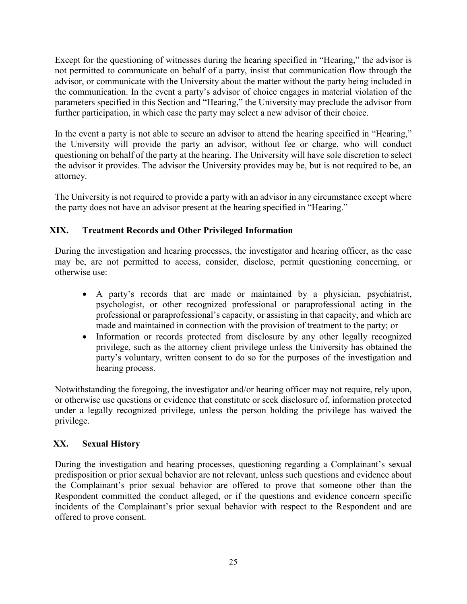Except for the questioning of witnesses during the hearing specified in "Hearing," the advisor is not permitted to communicate on behalf of a party, insist that communication flow through the advisor, or communicate with the University about the matter without the party being included in the communication. In the event a party's advisor of choice engages in material violation of the parameters specified in this Section and "Hearing," the University may preclude the advisor from further participation, in which case the party may select a new advisor of their choice.

In the event a party is not able to secure an advisor to attend the hearing specified in "Hearing," the University will provide the party an advisor, without fee or charge, who will conduct questioning on behalf of the party at the hearing. The University will have sole discretion to select the advisor it provides. The advisor the University provides may be, but is not required to be, an attorney.

The University is not required to provide a party with an advisor in any circumstance except where the party does not have an advisor present at the hearing specified in "Hearing."

# <span id="page-27-0"></span>**XIX. Treatment Records and Other Privileged Information**

During the investigation and hearing processes, the investigator and hearing officer, as the case may be, are not permitted to access, consider, disclose, permit questioning concerning, or otherwise use:

- A party's records that are made or maintained by a physician, psychiatrist, psychologist, or other recognized professional or paraprofessional acting in the professional or paraprofessional's capacity, or assisting in that capacity, and which are made and maintained in connection with the provision of treatment to the party; or
- Information or records protected from disclosure by any other legally recognized privilege, such as the attorney client privilege unless the University has obtained the party's voluntary, written consent to do so for the purposes of the investigation and hearing process.

Notwithstanding the foregoing, the investigator and/or hearing officer may not require, rely upon, or otherwise use questions or evidence that constitute or seek disclosure of, information protected under a legally recognized privilege, unless the person holding the privilege has waived the privilege.

### <span id="page-27-1"></span>**XX. Sexual History**

During the investigation and hearing processes, questioning regarding a Complainant's sexual predisposition or prior sexual behavior are not relevant, unless such questions and evidence about the Complainant's prior sexual behavior are offered to prove that someone other than the Respondent committed the conduct alleged, or if the questions and evidence concern specific incidents of the Complainant's prior sexual behavior with respect to the Respondent and are offered to prove consent.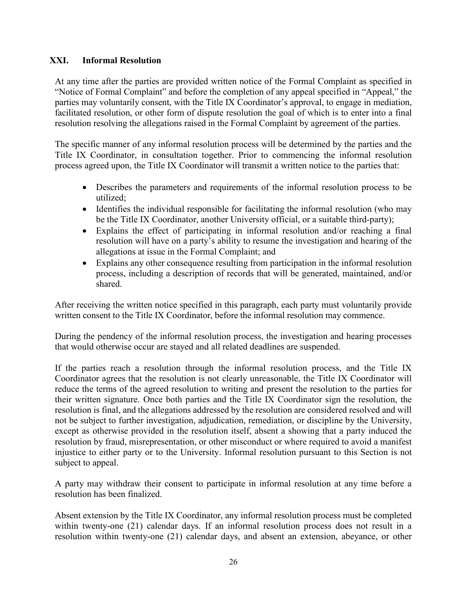### <span id="page-28-0"></span>**XXI. Informal Resolution**

At any time after the parties are provided written notice of the Formal Complaint as specified in "Notice of Formal Complaint" and before the completion of any appeal specified in "Appeal," the parties may voluntarily consent, with the Title IX Coordinator's approval, to engage in mediation, facilitated resolution, or other form of dispute resolution the goal of which is to enter into a final resolution resolving the allegations raised in the Formal Complaint by agreement of the parties.

The specific manner of any informal resolution process will be determined by the parties and the Title IX Coordinator, in consultation together. Prior to commencing the informal resolution process agreed upon, the Title IX Coordinator will transmit a written notice to the parties that:

- Describes the parameters and requirements of the informal resolution process to be utilized;
- Identifies the individual responsible for facilitating the informal resolution (who may be the Title IX Coordinator, another University official, or a suitable third-party);
- Explains the effect of participating in informal resolution and/or reaching a final resolution will have on a party's ability to resume the investigation and hearing of the allegations at issue in the Formal Complaint; and
- Explains any other consequence resulting from participation in the informal resolution process, including a description of records that will be generated, maintained, and/or shared.

After receiving the written notice specified in this paragraph, each party must voluntarily provide written consent to the Title IX Coordinator, before the informal resolution may commence.

During the pendency of the informal resolution process, the investigation and hearing processes that would otherwise occur are stayed and all related deadlines are suspended.

If the parties reach a resolution through the informal resolution process, and the Title IX Coordinator agrees that the resolution is not clearly unreasonable, the Title IX Coordinator will reduce the terms of the agreed resolution to writing and present the resolution to the parties for their written signature. Once both parties and the Title IX Coordinator sign the resolution, the resolution is final, and the allegations addressed by the resolution are considered resolved and will not be subject to further investigation, adjudication, remediation, or discipline by the University, except as otherwise provided in the resolution itself, absent a showing that a party induced the resolution by fraud, misrepresentation, or other misconduct or where required to avoid a manifest injustice to either party or to the University. Informal resolution pursuant to this Section is not subject to appeal.

A party may withdraw their consent to participate in informal resolution at any time before a resolution has been finalized.

Absent extension by the Title IX Coordinator, any informal resolution process must be completed within twenty-one (21) calendar days. If an informal resolution process does not result in a resolution within twenty-one (21) calendar days, and absent an extension, abeyance, or other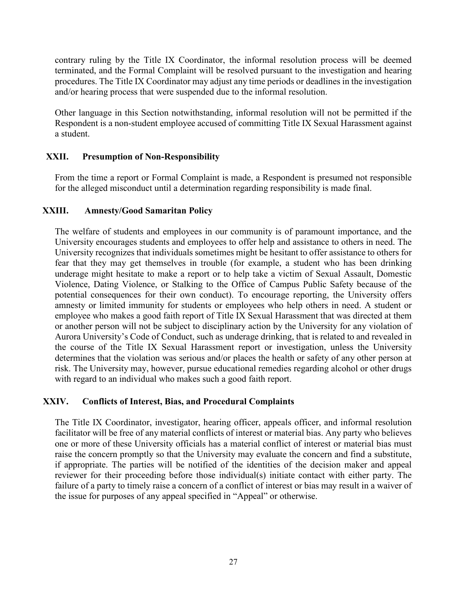contrary ruling by the Title IX Coordinator, the informal resolution process will be deemed terminated, and the Formal Complaint will be resolved pursuant to the investigation and hearing procedures. The Title IX Coordinator may adjust any time periods or deadlines in the investigation and/or hearing process that were suspended due to the informal resolution.

Other language in this Section notwithstanding, informal resolution will not be permitted if the Respondent is a non-student employee accused of committing Title IX Sexual Harassment against a student.

### <span id="page-29-0"></span>**XXII. Presumption of Non-Responsibility**

From the time a report or Formal Complaint is made, a Respondent is presumed not responsible for the alleged misconduct until a determination regarding responsibility is made final.

### **XXIII. Amnesty/Good Samaritan Policy**

<span id="page-29-1"></span>The welfare of students and employees in our community is of paramount importance, and the University encourages students and employees to offer help and assistance to others in need. The University recognizes that individuals sometimes might be hesitant to offer assistance to others for fear that they may get themselves in trouble (for example, a student who has been drinking underage might hesitate to make a report or to help take a victim of Sexual Assault, Domestic Violence, Dating Violence, or Stalking to the Office of Campus Public Safety because of the potential consequences for their own conduct). To encourage reporting, the University offers amnesty or limited immunity for students or employees who help others in need. A student or employee who makes a good faith report of Title IX Sexual Harassment that was directed at them or another person will not be subject to disciplinary action by the University for any violation of Aurora University's Code of Conduct, such as underage drinking, that is related to and revealed in the course of the Title IX Sexual Harassment report or investigation, unless the University determines that the violation was serious and/or places the health or safety of any other person at risk. The University may, however, pursue educational remedies regarding alcohol or other drugs with regard to an individual who makes such a good faith report.

### <span id="page-29-2"></span>**XXIV. Conflicts of Interest, Bias, and Procedural Complaints**

The Title IX Coordinator, investigator, hearing officer, appeals officer, and informal resolution facilitator will be free of any material conflicts of interest or material bias. Any party who believes one or more of these University officials has a material conflict of interest or material bias must raise the concern promptly so that the University may evaluate the concern and find a substitute, if appropriate. The parties will be notified of the identities of the decision maker and appeal reviewer for their proceeding before those individual(s) initiate contact with either party. The failure of a party to timely raise a concern of a conflict of interest or bias may result in a waiver of the issue for purposes of any appeal specified in "Appeal" or otherwise.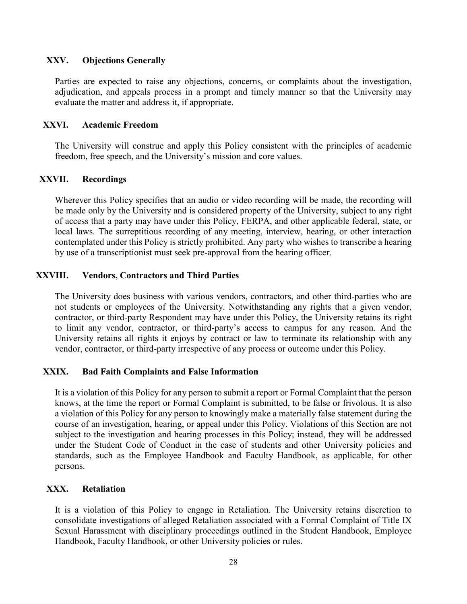### <span id="page-30-0"></span>**XXV. Objections Generally**

Parties are expected to raise any objections, concerns, or complaints about the investigation, adjudication, and appeals process in a prompt and timely manner so that the University may evaluate the matter and address it, if appropriate.

#### <span id="page-30-1"></span>**XXVI. Academic Freedom**

The University will construe and apply this Policy consistent with the principles of academic freedom, free speech, and the University's mission and core values.

#### <span id="page-30-2"></span>**XXVII. Recordings**

Wherever this Policy specifies that an audio or video recording will be made, the recording will be made only by the University and is considered property of the University, subject to any right of access that a party may have under this Policy, FERPA, and other applicable federal, state, or local laws. The surreptitious recording of any meeting, interview, hearing, or other interaction contemplated under this Policy is strictly prohibited. Any party who wishes to transcribe a hearing by use of a transcriptionist must seek pre-approval from the hearing officer.

#### <span id="page-30-3"></span>**XXVIII. Vendors, Contractors and Third Parties**

The University does business with various vendors, contractors, and other third-parties who are not students or employees of the University. Notwithstanding any rights that a given vendor, contractor, or third-party Respondent may have under this Policy, the University retains its right to limit any vendor, contractor, or third-party's access to campus for any reason. And the University retains all rights it enjoys by contract or law to terminate its relationship with any vendor, contractor, or third-party irrespective of any process or outcome under this Policy.

### <span id="page-30-4"></span>**XXIX. Bad Faith Complaints and False Information**

It is a violation of this Policy for any person to submit a report or Formal Complaint that the person knows, at the time the report or Formal Complaint is submitted, to be false or frivolous. It is also a violation of this Policy for any person to knowingly make a materially false statement during the course of an investigation, hearing, or appeal under this Policy. Violations of this Section are not subject to the investigation and hearing processes in this Policy; instead, they will be addressed under the Student Code of Conduct in the case of students and other University policies and standards, such as the Employee Handbook and Faculty Handbook, as applicable, for other persons.

### <span id="page-30-5"></span>**XXX. Retaliation**

It is a violation of this Policy to engage in Retaliation. The University retains discretion to consolidate investigations of alleged Retaliation associated with a Formal Complaint of Title IX Sexual Harassment with disciplinary proceedings outlined in the Student Handbook, Employee Handbook, Faculty Handbook, or other University policies or rules.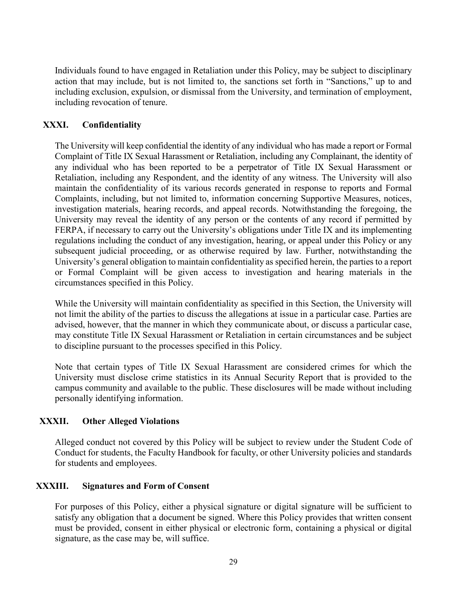Individuals found to have engaged in Retaliation under this Policy, may be subject to disciplinary action that may include, but is not limited to, the sanctions set forth in "Sanctions," up to and including exclusion, expulsion, or dismissal from the University, and termination of employment, including revocation of tenure.

### <span id="page-31-0"></span>**XXXI. Confidentiality**

The University will keep confidential the identity of any individual who has made a report or Formal Complaint of Title IX Sexual Harassment or Retaliation, including any Complainant, the identity of any individual who has been reported to be a perpetrator of Title IX Sexual Harassment or Retaliation, including any Respondent, and the identity of any witness. The University will also maintain the confidentiality of its various records generated in response to reports and Formal Complaints, including, but not limited to, information concerning Supportive Measures, notices, investigation materials, hearing records, and appeal records. Notwithstanding the foregoing, the University may reveal the identity of any person or the contents of any record if permitted by FERPA, if necessary to carry out the University's obligations under Title IX and its implementing regulations including the conduct of any investigation, hearing, or appeal under this Policy or any subsequent judicial proceeding, or as otherwise required by law. Further, notwithstanding the University's general obligation to maintain confidentiality as specified herein, the parties to a report or Formal Complaint will be given access to investigation and hearing materials in the circumstances specified in this Policy.

While the University will maintain confidentiality as specified in this Section, the University will not limit the ability of the parties to discuss the allegations at issue in a particular case. Parties are advised, however, that the manner in which they communicate about, or discuss a particular case, may constitute Title IX Sexual Harassment or Retaliation in certain circumstances and be subject to discipline pursuant to the processes specified in this Policy.

Note that certain types of Title IX Sexual Harassment are considered crimes for which the University must disclose crime statistics in its Annual Security Report that is provided to the campus community and available to the public. These disclosures will be made without including personally identifying information.

### <span id="page-31-1"></span>**XXXII. Other Alleged Violations**

Alleged conduct not covered by this Policy will be subject to review under the Student Code of Conduct for students, the Faculty Handbook for faculty, or other University policies and standards for students and employees.

### <span id="page-31-2"></span>**XXXIII. Signatures and Form of Consent**

For purposes of this Policy, either a physical signature or digital signature will be sufficient to satisfy any obligation that a document be signed. Where this Policy provides that written consent must be provided, consent in either physical or electronic form, containing a physical or digital signature, as the case may be, will suffice.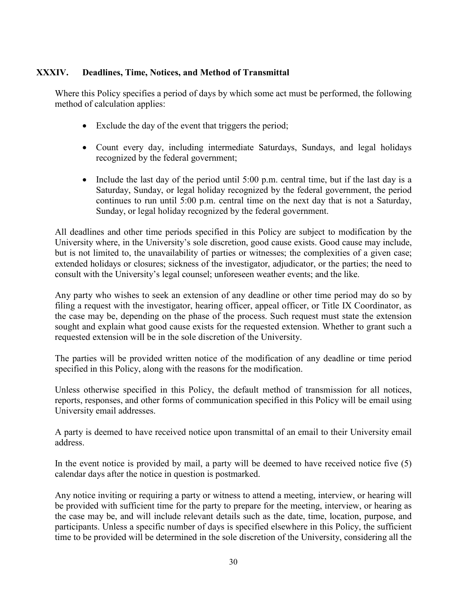### <span id="page-32-0"></span>**XXXIV. Deadlines, Time, Notices, and Method of Transmittal**

Where this Policy specifies a period of days by which some act must be performed, the following method of calculation applies:

- Exclude the day of the event that triggers the period;
- Count every day, including intermediate Saturdays, Sundays, and legal holidays recognized by the federal government;
- Include the last day of the period until 5:00 p.m. central time, but if the last day is a Saturday, Sunday, or legal holiday recognized by the federal government, the period continues to run until 5:00 p.m. central time on the next day that is not a Saturday, Sunday, or legal holiday recognized by the federal government.

All deadlines and other time periods specified in this Policy are subject to modification by the University where, in the University's sole discretion, good cause exists. Good cause may include, but is not limited to, the unavailability of parties or witnesses; the complexities of a given case; extended holidays or closures; sickness of the investigator, adjudicator, or the parties; the need to consult with the University's legal counsel; unforeseen weather events; and the like.

Any party who wishes to seek an extension of any deadline or other time period may do so by filing a request with the investigator, hearing officer, appeal officer, or Title IX Coordinator, as the case may be, depending on the phase of the process. Such request must state the extension sought and explain what good cause exists for the requested extension. Whether to grant such a requested extension will be in the sole discretion of the University.

The parties will be provided written notice of the modification of any deadline or time period specified in this Policy, along with the reasons for the modification.

Unless otherwise specified in this Policy, the default method of transmission for all notices, reports, responses, and other forms of communication specified in this Policy will be email using University email addresses.

A party is deemed to have received notice upon transmittal of an email to their University email address.

In the event notice is provided by mail, a party will be deemed to have received notice five (5) calendar days after the notice in question is postmarked.

Any notice inviting or requiring a party or witness to attend a meeting, interview, or hearing will be provided with sufficient time for the party to prepare for the meeting, interview, or hearing as the case may be, and will include relevant details such as the date, time, location, purpose, and participants. Unless a specific number of days is specified elsewhere in this Policy, the sufficient time to be provided will be determined in the sole discretion of the University, considering all the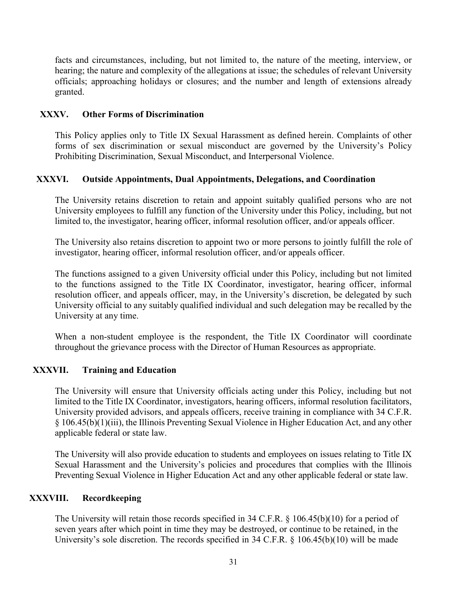facts and circumstances, including, but not limited to, the nature of the meeting, interview, or hearing; the nature and complexity of the allegations at issue; the schedules of relevant University officials; approaching holidays or closures; and the number and length of extensions already granted.

### <span id="page-33-0"></span>**XXXV. Other Forms of Discrimination**

This Policy applies only to Title IX Sexual Harassment as defined herein. Complaints of other forms of sex discrimination or sexual misconduct are governed by the University's Policy Prohibiting Discrimination, Sexual Misconduct, and Interpersonal Violence.

### <span id="page-33-1"></span>**XXXVI. Outside Appointments, Dual Appointments, Delegations, and Coordination**

The University retains discretion to retain and appoint suitably qualified persons who are not University employees to fulfill any function of the University under this Policy, including, but not limited to, the investigator, hearing officer, informal resolution officer, and/or appeals officer.

The University also retains discretion to appoint two or more persons to jointly fulfill the role of investigator, hearing officer, informal resolution officer, and/or appeals officer.

The functions assigned to a given University official under this Policy, including but not limited to the functions assigned to the Title IX Coordinator, investigator, hearing officer, informal resolution officer, and appeals officer, may, in the University's discretion, be delegated by such University official to any suitably qualified individual and such delegation may be recalled by the University at any time.

When a non-student employee is the respondent, the Title IX Coordinator will coordinate throughout the grievance process with the Director of Human Resources as appropriate.

### <span id="page-33-2"></span>**XXXVII. Training and Education**

The University will ensure that University officials acting under this Policy, including but not limited to the Title IX Coordinator, investigators, hearing officers, informal resolution facilitators, University provided advisors, and appeals officers, receive training in compliance with 34 C.F.R. § 106.45(b)(1)(iii), the Illinois Preventing Sexual Violence in Higher Education Act, and any other applicable federal or state law.

The University will also provide education to students and employees on issues relating to Title IX Sexual Harassment and the University's policies and procedures that complies with the Illinois Preventing Sexual Violence in Higher Education Act and any other applicable federal or state law.

### **XXXVIII. Recordkeeping**

<span id="page-33-3"></span>The University will retain those records specified in 34 C.F.R. § 106.45(b)(10) for a period of seven years after which point in time they may be destroyed, or continue to be retained, in the University's sole discretion. The records specified in 34 C.F.R. § 106.45(b)(10) will be made